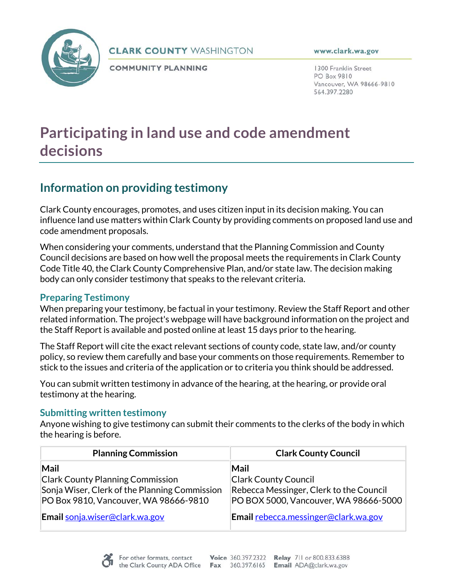

### **CLARK COUNTY WASHINGTON**

**COMMUNITY PLANNING** 

www.clark.wa.gov

1300 Franklin Street PO Box 9810 Vancouver, WA 98666-9810 564.397.2280

# **Participating in land use and code amendment decisions**

# **Information on providing testimony**

Clark County encourages, promotes, and uses citizen input in its decision making. You can influence land use matters within Clark County by providing comments on proposed land use and code amendment proposals.

When considering your comments, understand that the Planning Commission and County Council decisions are based on how well the proposal meets the requirements in Clark County Code Title 40, the Clark County Comprehensive Plan, and/or state law. The decision making body can only consider testimony that speaks to the relevant criteria.

# **Preparing Testimony**

When preparing your testimony, be factual in your testimony. Review the Staff Report and other related information. The project's webpage will have background information on the project and the Staff Report is available and posted online at least 15 days prior to the hearing.

The Staff Report will cite the exact relevant sections of county code, state law, and/or county policy, so review them carefully and base your comments on those requirements. Remember to stick to the issues and criteria of the application or to criteria you think should be addressed.

You can submit written testimony in advance of the hearing, at the hearing, or provide oral testimony at the hearing.

# **Submitting written testimony**

Anyone wishing to give testimony can submit their comments to the clerks of the body in which the hearing is before.

| <b>Planning Commission</b>                    | <b>Clark County Council</b>             |
|-----------------------------------------------|-----------------------------------------|
| Mail                                          | Mail                                    |
| <b>Clark County Planning Commission</b>       | <b>Clark County Council</b>             |
| Sonja Wiser, Clerk of the Planning Commission | Rebecca Messinger, Clerk to the Council |
| PO Box 9810, Vancouver, WA 98666-9810         | PO BOX 5000, Vancouver, WA 98666-5000   |
| Email sonja.wiser@clark.wa.gov                | Email rebecca.messinger@clark.wa.gov    |

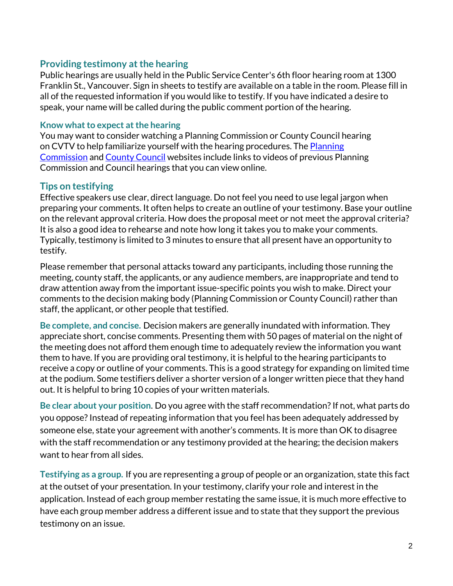### **Providing testimony at the hearing**

Public hearings are usually held in the Public Service Center's 6th floor hearing room at 1300 Franklin St., Vancouver. Sign in sheets to testify are available on a table in the room. Please fill in all of the requested information if you would like to testify. If you have indicated a desire to speak, your name will be called during the public comment portion of the hearing.

#### **Know what to expect at the hearing**

You may want to consider watching a Planning Commission or County Council hearing on CVTV to help familiarize yourself with the hearing procedures. The **Planning** [Commission](https://www.clark.wa.gov/community-planning/planning-commission-hearings-and-meeting-notes) and [County Council](https://www.clark.wa.gov/council-meetings) websites include links to videos of previous Planning Commission and Council hearings that you can view online.

# **Tips on testifying**

Effective speakers use clear, direct language. Do not feel you need to use legal jargon when preparing your comments. It often helps to create an outline of your testimony. Base your outline on the relevant approval criteria. How does the proposal meet or not meet the approval criteria? It is also a good idea to rehearse and note how long it takes you to make your comments. Typically, testimony is limited to 3 minutes to ensure that all present have an opportunity to testify.

Please remember that personal attacks toward any participants, including those running the meeting, county staff, the applicants, or any audience members, are inappropriate and tend to draw attention away from the important issue-specific points you wish to make. Direct your comments to the decision making body (Planning Commission or County Council) rather than staff, the applicant, or other people that testified.

**Be complete, and concise.** Decision makers are generally inundated with information. They appreciate short, concise comments. Presenting them with 50 pages of material on the night of the meeting does not afford them enough time to adequately review the information you want them to have. If you are providing oral testimony, it is helpful to the hearing participants to receive a copy or outline of your comments. This is a good strategy for expanding on limited time at the podium. Some testifiers deliver a shorter version of a longer written piece that they hand out. It is helpful to bring 10 copies of your written materials.

**Be clear about your position**. Do you agree with the staff recommendation? If not, what parts do you oppose? Instead of repeating information that you feel has been adequately addressed by someone else, state your agreement with another's comments. It is more than OK to disagree with the staff recommendation or any testimony provided at the hearing; the decision makers want to hear from all sides.

**Testifying as a group.** If you are representing a group of people or an organization, state this fact at the outset of your presentation. In your testimony, clarify your role and interest in the application. Instead of each group member restating the same issue, it is much more effective to have each group member address a different issue and to state that they support the previous testimony on an issue.